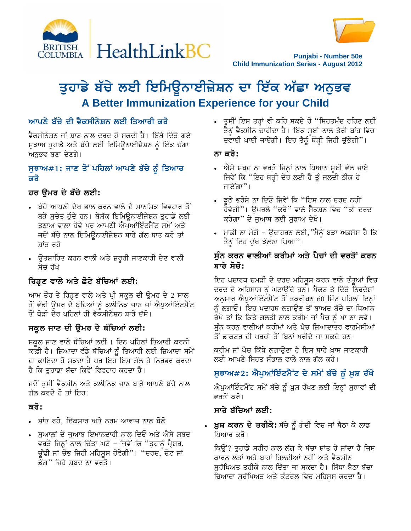



**Punjabi - Number 50e Child Immunization Series - August 2012**

# ਤੁਹਾਡੇ ਬੱਚੇ ਲਈ ਇਮਿਉਨਾਈਜ਼ੇਸ਼ਨ ਦਾ ਇੱਕ ਅੱਛਾ ਅਨੁਭਵ **A Better Immunization Experience for your Child**

## <u>ਆਪਣੇ ਬੱਚੇ ਦੀ ਵੈਕਸੀਨੇਸ਼ਨ ਲਈ ਤਿਆਰੀ ਕਰੋ</u>

ਵੈਕਸੀਨੇਸ਼ਨ ਜਾਂ ਸ਼ਾਟ ਨਾਲ ਦਰਦ ਹੋ ਸਕਦੀ ਹੈ। ਇੱਥੇ ਦਿੱਤੇ ਗਏ ਸੁਝਾਅ ਤੁਹਾਡੇ ਅਤੇ ਬੱਚੇ ਲਈ ਇਮਿਉਨਾਈਜ਼ੇਸ਼ਨ ਨੂੰ ਇੱਕ ਚੰਗਾ ਅਨੁਭਵ ਬਣਾ ਦੇਣਗੇ।

#### $H$ ਲੁਆ#1: ਜਾਣ ਤੋਂ ਪਹਿਲਾਂ ਆਪਣੇ ਬੱਚੇ ਨੂੰ ਤਿਆਰ <u>ਕਰੋ</u>

## ਹਰ ਉਮਰ ਦੇ ਬੱਚੇ ਲਈ**:**

- ਬੱਚੇ ਆਪਣੀ ਦੇਖ ਭਾਲ ਕਰਨ ਵਾਲੇ ਦੇ ਮਾਨਸਿਕ ਵਿਵਹਾਰ ਤੋਂ ਬੜੇ ਸੁਚੇਤ ਹੁੰਦੇ ਹਨ। ਬੇਸ਼ੱਕ ਇਮਿਉਨਾਈਜ਼ੇਸ਼ਨ ਤੁਹਾਡੇ ਲਈ ਤਣਾਅ ਵਾਲਾ ਹੋਵੇ ਪਰ ਆਪਣੀ ਐਪੁਆਂਇੰਟਮੈਂਟ ਸਮੇਂ ਅਤੇ ਜਦੋਂ ਬੱਚੇ ਨਾਲ ਇਮਿਊਨਾਈਜ਼ੇਸ਼ਨ ਬਾਰੇ ਗੱਲ ਬਾਤ ਕਰੋ ਤਾਂ ਸ਼ਾਂਤ ਰਹੋ
- ਉਤਸ਼ਾਹਿਤ ਕਰਨ ਵਾਲੀ ਅਤੇ ਜ਼ਰੂਰੀ ਜਾਣਕਾਰੀ ਦੇਣ ਵਾਲੀ ਸੋਚ ਰੱਖੋ

## ਗਿੜ੍ਹਣ ਵਾਲੇ ਅਤੇ ਛੋਟੇ ਬੱਚਿਆਂ **ਲਈ**:

ਆਮ ਤੌਰ ਤੇ ਰਿੜ੍ਹਣ ਵਾਲੇ ਅਤੇ ਪ੍ਰੀ ਸਕੂਲ ਦੀ ਉਮਰ ਦੇ 2 ਸਾਲ ਤੋਂ ਵੱਡੀ ਉਮਰ ਦੇ ਬੱਚਿਆਂ ਨੂੰ ਕਲੀਨਿਕ ਜਾਣ ਜਾਂ ਐਪੁਆਂਇੰਟਮੈਂਟ ਤੋਂ ਥੋੜੀ ਦੇਰ ਪਹਿਲਾਂ ਹੀ ਵੈਕਸੀਨੇਸ਼ਨ ਬਾਰੇ ਦੱਸੋ।

#### ਸਕੂਲ ਜਾਣ ਦੀ ਉਮਰ ਦੇ ਬੱਚਿਆਂ ਲਈ**:**

ਸਕੂਲ ਜਾਣ ਵਾਲੇ ਬੱਚਿਆਂ ਲਈ 1 ਦਿਨ ਪਹਿਲਾਂ ਤਿਆਰੀ ਕਰਨੀ ਕਾਫ਼ੀ ਹੈ। ਜ਼ਿਆਦਾ ਵੱਡੇ ਬੱਚਿਆਂ ਨੂੰ ਤਿਆਰੀ ਲਈ ਜ਼ਿਆਦਾ ਸਮੇਂ<sup>:</sup> ਦਾ ਫ਼ਾਇਦਾ ਹੋ ਸਕਦਾ ਹੈ ਪਰ ਇਹ ਇਸ ਗੱਲ ਤੇ ਨਿਰਭਰ ਕਰਦਾ ਹੈ ਕਿ ਤਹਾਡਾ ਬੱਚਾ ਕਿਵੇਂ ਵਿਵਹਾਰ ਕਰਦਾ ਹੈ।

ਜਦੋਂ ਤੁਸੀਂ ਵੈਕਸੀਨ ਅਤੇ ਕਲੀਨਿਕ ਜਾਣ ਬਾਰੇ ਆਪਣੇ ਬੱਚੇ ਨਾਲ ਗੱਲ ਕਰਦੇ ਹੋ ਤਾਂ ਇਹ:

#### <u>ਕਰੋ:</u>

- ਸ਼ਾਂਤ ਰਹੋ, ਇੱਕਸਾਰ ਅਤੇ ਨਰਮ ਆਵਾਜ਼ ਨਾਲ ਬੋਲੋ
- ਸੁਆਲਾਂ ਦੇ ਜੁਆਬ ਇਮਾਨਦਾਰੀ ਨਾਲ ਦਿਓ ਅਤੇ ਐਸੇ ਸ਼ਬਦ ਵਰਤੋ ਜਿਨ੍ਹਾਂ ਨਾਲ ਚਿੰਤਾ ਘਟੇ – ਜਿਵੇਂ ਕਿ "ਤੁਹਾਨੂੰ ਪ੍ਰੈਸ਼ਰ, ਚੁੰਢੀ ਜਾਂ ਚੋਭ ਜਿਹੀ ਮਹਿਸੁਸ ਹੋਵੇਗੀ"। "ਦਰਦ, ਚੋਟ ਜਾਂ ਡੰਗ" ਜਿਹੇ ਸ਼ਬਦ ਨਾ ਵਰਤੋ।

• ਤੁਸੀਂ ਇਸ ਤਰ੍ਹਾਂ ਵੀ ਕਹਿ ਸਕਦੇ ਹੋ "ਸਿਹਤਮੰਦ ਰਹਿਣ ਲਈ ਤੈਨੂੰ ਵੈਕਸੀਨ ਚਾਹੀਦਾ ਹੈ। ਇੱਕ ਸੂਈ ਨਾਲ ਤੇਰੀ ਬਾਂਹ ਵਿਚ ਦਵਾਈ ਪਾਈ ਜਾਏਗੀ। ਇਹ ਤੈਨੂੰ ਥੋੜ੍ਹੀ ਜਿਹੀ ਚੁੱਭੇਗੀ"।

#### <u>ਨਾ ਕਰੋ:</u>

- ਐਸੇ ਸ਼ਬਦ ਨਾ ਵਰਤੋ ਜਿਨ੍ਹਾਂ ਨਾਲ ਧਿਆਨ ਸੁਈ ਵੱਲ ਜਾਏ ਜਿਵੇਂ ਕਿ ''ਇਹ ਥੋੜ੍ਹੀ ਦੇਰ ਲਈ ਹੈ ਤੂੰ ਜਲਦੀ ਠੀਕ ਹੋ ਜਾਏਂਗਾ"।
- ਝੂਠੇ ਭਰੋਸੇ ਨਾ ਦਿਓ ਜਿਵੇਂ ਕਿ "ਇਸ ਨਾਲ ਦਰਦ ਨਹੀਂ ਹੋਵੇਗੀ''। ਉਪਰਲੇ ''ਕਰੋ'' ਵਾਲੇ ਸੈਕਸ਼ਨ ਵਿਚ ''ਕੀ ਦਰਦ ਕਰੇਗਾ" ਦੇ ਜਆਬ ਲਈ ਸਝਾਅ ਦੇਖੋ।
- ਮਾਫ਼ੀ ਨਾ ਮੰਗੋ ਉਦਾਹਰਨ ਲਈ,''ਮੈਨੂੰ ਬੜਾ ਅਫ਼ਸੋਸ ਹੈ ਕਿ ਤੈਨੂੰ ਇਹ ਦੁੱਖ ਝੱਲਣਾ ਪਿਆ"।

### ਸੰਨ ਕਰਨ ਵਾਲੀਆਂ ਕਰੀਮਾਂ ਅਤੇ ਪੈਚਾਂ ਦੀ ਵਰਤੋਂ ਕਰਨ <u>ਬਾਰੇ ਸੋਚੋ:</u>

ਇਹ ਪਦਾਰਥ ਚਮੜੀ ਦੇ ਦਰਦ ਮਹਿਸੂਸ ਕਰਨ ਵਾਲੇ ਤੰਤੂਆਂ ਵਿਚ ਦਰਦ ਦੇ ਅਹਿਸਾਸ ਨੂੰ ਘਟਾਉਂਦੇ ਹਨ। ਪੈਕਟ ਤੇ ਦਿੱਤੇ ਨਿਰਦੇਸ਼ਾਂ ਅਨੁਸਾਰ ਐਪੁਆਂਇੰਟਮੈਂਟ ਤੋਂ ਤਕਰੀਬਨ 60 ਮਿੰਟ ਪਹਿਲਾਂ ਇਨ੍ਹਾਂ ਨੂੰ ਲਗਾਓ। ਇਹ ਪਦਾਰਥ ਲਗਾਉਣ ਤੋਂ ਬਾਅਦ ਬੱਚੇ ਦਾ ਧਿਆਨ ਰੱਖੋ ਤਾਂ ਕਿ ਕਿਤੇ ਗਲਤੀ ਨਾਲ ਕਰੀਮ ਜਾਂ ਪੈਚ ਨੂੰ ਖਾ ਨਾ ਲਵੇ। ਸੰਨ ਕਰਨ ਵਾਲੀਆਂ ਕਰੀਮਾਂ ਅਤੇ ਪੈਚ ਜ਼ਿਆਦਾਤਰ ਫਾਰਮੇਸੀਆਂ ਤੋਂ ਡਾਕਟਰ ਦੀ ਪਰਚੀ ਤੋਂ ਬਿਨਾਂ ਖ਼ਰੀਦੇ ਜਾ ਸਕਦੇ ਹਨ।

ਕਰੀਮ ਜਾਂ ਪੈਚ ਕਿੱਥੇ ਲਗਾੳਣਾ ਹੈ ਇਸ ਬਾਰੇ ਖ਼ਾਸ ਜਾਣਕਾਰੀ ਲਈ ਆਪਣੇ ਸਿਹਤ ਸੰਭਾਲ ਵਾਲੇ ਨਾਲ ਗੱਲ ਕਰੋ।

## ਸੁਝਾਅ#2: ਐਪੁਆਂਇੰਟਮੈਂਟ ਦੇ ਸਮੇਂ ਬੱਚੇ ਨੂੰ ਖ਼ੁਸ਼ ਰੱਖੋ

 $\hat{M}$ ਪਆਂਇੰਟਮੈਂਟ ਸਮੇਂ ਬੱਚੇ ਨੂੰ ਖ਼ੁਸ਼ ਰੱਖਣ ਲਈ ਇਨ੍ਹਾਂ ਸੁਝਾਵਾਂ ਦੀ ਵਰਤੋਂ ਕਰੋ।

#### ਸਾਰੇ ਬੱਚਿਆਂ ਲਈ:

**ਮੁਸ਼ ਕਰਨ ਦੇ ਤਰੀਕੇ:** ਬੱਚੇ ਨੂੰ ਗੋਦੀ ਵਿਚ ਜਾਂ ਬੈਠਾ ਕੇ ਲਾਡ ਪਿਆਰ ਕਰੋ।

ਕਿਉਂ? ਤੁਹਾਡੇ ਸਰੀਰ ਨਾਲ ਲੱਗ ਕੇ ਬੱਚਾ ਸ਼ਾਂਤ ਹੋ ਜਾਂਦਾ ਹੈ ਜਿਸ ਕਾਰਨ ਲੱਤਾਂ ਅਤੇ ਬਾਹਾਂ ਹਿਲਦੀਆਂ ਨਹੀਂ ਅਤੇ ਵੈਕਸੀਨ ਸੁਰੱਖਿਅਤ ਤਰੀਕੇ ਨਾਲ ਦਿੱਤਾ ਜਾ ਸਕਦਾ ਹੈ। ਸਿੱਧਾ ਬੈਠਾ ਬੱਚਾ ਜ਼ਿਆਦਾ ਸੁਰੱਖਿਅਤ ਅਤੇ ਕੰਟਰੋਲ ਵਿਚ ਮਹਿਸੂਸ ਕਰਦਾ ਹੈ।